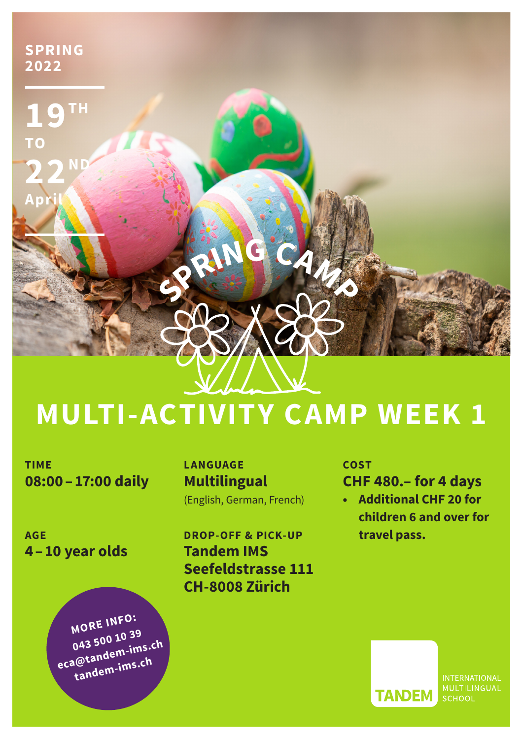

## **MULTI-ACTIVITY CAMP WEEK 1**

**TIME 08:00–17:00 daily** 

**AGE 4–10 year olds**

> **MORE INFO: 043 500 10 39 eca@tandem-ims.ch tandem-ims.ch**

**LANGUAGE Multilingual**  (English, German, French)

**DROP-OFF & PICK-UP Tandem IMS Seefeldstrasse 111 CH-8008 Zürich**

**COST CHF 480.– for 4 days**

**• Additional CHF 20 for children 6 and over for travel pass.**